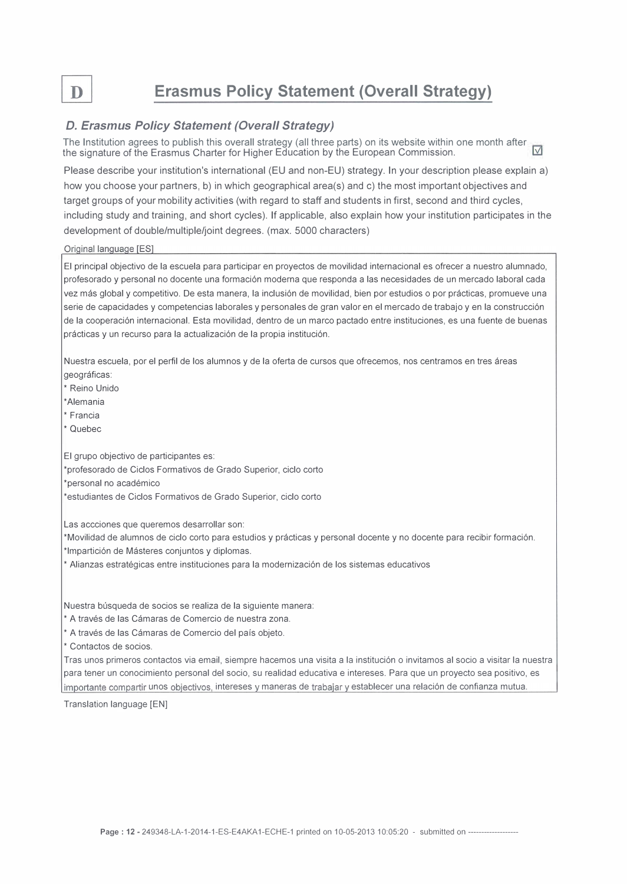$\mathbf{D}$ 

## Erasmus Policy Statement (Overall Strategy)

## D. Erasmus Policy Statement (Overall Strategy)

The Institution agrees to publish this overall strategy (all three parts) on its website within one month after  $\frac{1}{n}$ the signature of the Erasmus Charter far Higher Education by the European Commission. W!..I

Please describe your institution's international (EU and non-EU) strategy. In your description please explain a) how you choose your partners, b) in which geographical area(s) and c) the most important objectives and target groups of your mobility activities (with regard to staff and students in first, second and third cycles, including study and training, and short cycles). lf applicable, also explain how your institution participates in the development of double/multiple/joint degrees. (max. 5000 characters)

## Original language [ES]

El principal objectivo de la escuela para participar en proyectos de movilidad internacional es ofrecer a nuestro alumnado, profesorado y personal no docente una formación moderna que responda a las necesidades de un mercado laboral cada vez más global y competitivo. De esta manera, la inclusión de movilidad, bien por estudios o por prácticas, promueve una serie de capacidades y competencias laborales y personales de gran valor en el mercado de trabajo y en la construcción de la cooperación internacional. Esta movilidad, dentro de un marco pactado entre instituciones, es una fuente de buenas prácticas y un recurso para la actualización de la propia institución.

Nuestra escuela, por el perfil de los alumnos y de la oferta de cursos que ofrecemos, nos centramos en tres áreas geográficas:

\* Reino Unido

\*Alemania

\*Francia

\* Quebec

El grupo objectivo de participantes es:

\*profesorado de Ciclos Formativos de Grado Superior, ciclo corto

\*personal no académico

\*estudiantes de Ciclos Formativos de Grado Superior, ciclo corto

Las accciones que queremos desarrollar son:

\*Movilidad de alumnos de ciclo corto para estudios y prácticas y personal docente y no docente para recibir formación. \*lmpartición de Másteres conjuntos y diplomas.

\* Alianzas estratégicas entre instituciones para la modernización de los sistemas educativos

Nuestra búsqueda de socios se realiza de la siguiente manera:

\* A través de las Cámaras de Comercio de nuestra zona.

\*A través de las Cámaras de Comercio del país objeto.

\* Contactos de socios.

Tras unos primeros contactos via email, siempre hacemos una visita a la institución o invitamos al socio a visitar la nuestra para tener un conocimiento personal del socio, su realidad educativa e intereses. Para que un proyecto sea positivo, es importante compartir unos objectivos, intereses y maneras de trabajar y establecer una relación de confianza mutua.

Translation language [EN]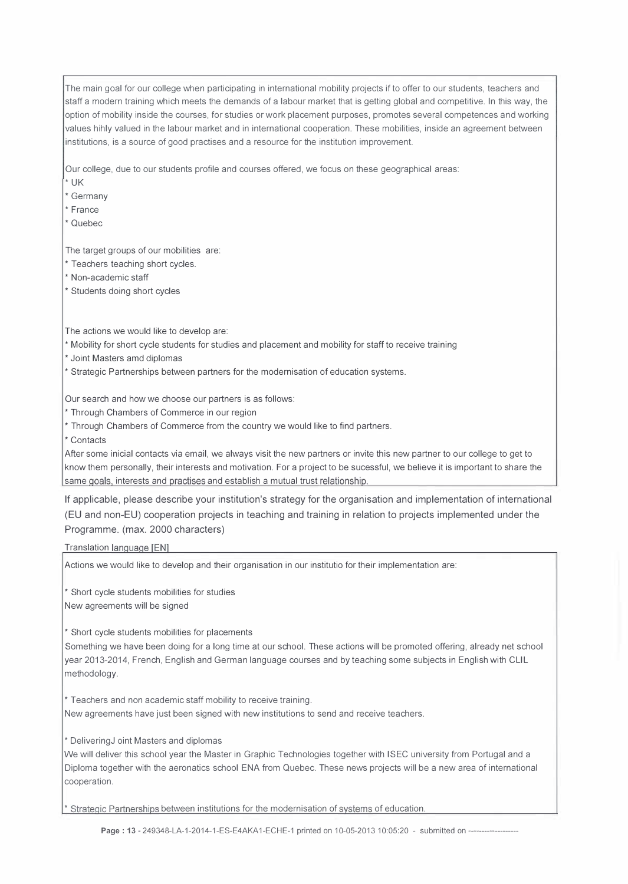The main goal for our college when participating in international mobility projects if to offer to our students, teachers and staff a modern training which meets the demands of a labour market that is getting global and competitive. In this way, the option of mobility inside the courses, for studies or work placement purposes, prometes severa! competences and working values hihly valued in the labour market and in international cooperation. These mobilities, inside an agreement between institutions, is a source of good practises and a resource for the institution improvement.

Our college, due to our students profile and courses offered, we focus on these geographical areas:

\* UK

\* Germany

\* France

\* Quebec

The target groups of our mobilities are:

\* Teachers teaching short cycles.

\* Non-academic staff

\* Students doing short cycles

The actions we would like to develop are:

\* Mobility for short cycle students for studies and placement and mobility for staff to receive training

\* Joint Masters amd diplomas

\* Strategic Partnerships between partners for the modernisation of education systems.

Our search and how we choose our partners is as follows:

\* Through Chambers of Commerce in our region

\* Through Chambers of Commerce from the country we would like to find partners.

\* Contacts

After sorne inicial contacts vía email, we always visit the new partners or invite this new partner to our college to get to know them personally, their interests and motivation. For a project to be sucessful, we believe it is important to share the same goals, interests and practises and establish a mutual trust relationship.

lf applicable, please describe your institution's strategy for the organisation and implementation of international (EU and non-EU) cooperation projects in teaching and training in relation to projects implemented under the Programme. (max. 2000 characters)

Translation lanquaqe [ENl

Actions we would like to develop and their organisation in our institutio for their implementation are:

\* Short cycle students mobilities for studies New agreements will be signed

\* Short cycle students mobilities for placements

Something we have been doing for a long time at our school. These actions will be prometed offering, already net school year 2013-2014, French, English and German language courses and by teaching sorne subjects in English with CLIL methodology.

\* Teachers and non academic staff mobility to receive training. New agreements have just been signed with new institutions to send and receive teachers.

\* DeliveringJ oint Masters and diplomas

We will deliver this school year the Master in Graphic Technologies together with ISEC university from Portugal and a Diploma together with the aeronatics school ENA from Quebec. These news projects will be a new area of international cooperation.

\* Strategic Partnerships between institutions for the modernisation of systems of education.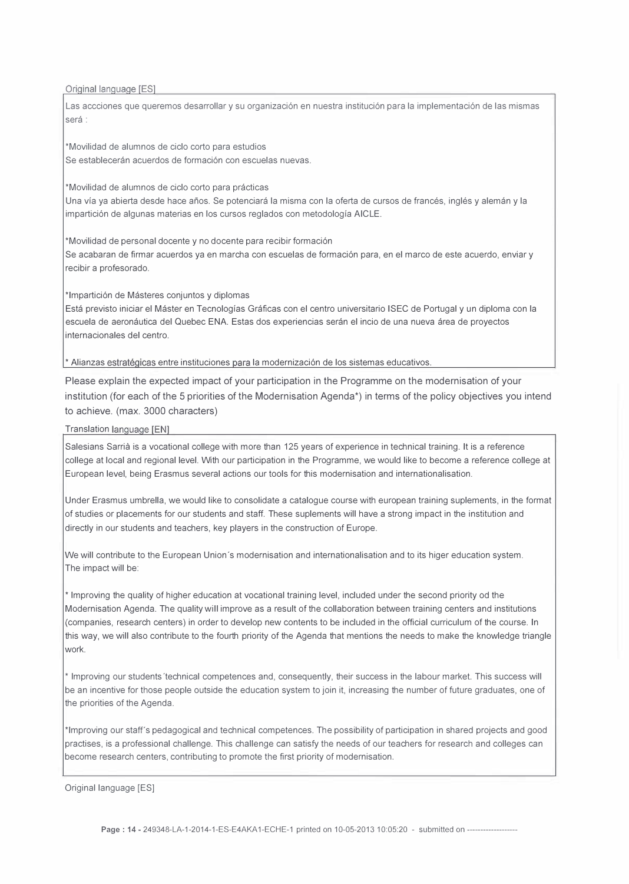Original language [ES]

Las accciones que queremos desarrollar y su organización en nuestra institución para la implementación de las mismas será :

\*Movilidad de alumnos de ciclo corto para estudios Se establecerán acuerdos de formación con escuelas nuevas.

\*Movilidad de alumnos de ciclo corto para prácticas Una vía ya abierta desde hace años. Se potenciará la misma con la oferta de cursos de francés, inglés y alemán y la impartición de algunas materias en los cursos reglados con metodología AICLE.

\*Movilidad de personal docente y no docente para recibir formación Se acabaran de firmar acuerdos ya en marcha con escuelas de formación para, en el marco de este acuerdo, enviar y recibir a profesorado.

\*lmpartición de Másteres conjuntos y diplomas

Está previsto iniciar el Máster en Tecnologías Gráficas con el centro universitario ISEC de Portugal y un diploma con la escuela de aeronáutica del Quebec ENA. Estas dos experiencias serán el incio de una nueva área de proyectos internacionales del centro.

\* Alianzas estratéqicas entre instituciones para la modernización de los sistemas educativos.

Please explain the expected impact of your participation in the Programme on the modernisation of your institution (for each of the 5 priorities of the Modernisation Agenda\*) in terms of the policy objectives you intend to achieve. (max. 3000 characters)

Translation lanquaqe [EN]

Salesians Sarrià is a vocational college with more than 125 years of experience in technical training. It is a reference college at local and regional Jevel. With our participation in the Programme, we would like to become a reference college at European leve!, being Erasmus several actions our tools for this modernisation and internationalisation.

Under Erasmus umbrella, we would like to consolidate a catalogue course with european training suplements, in the format of studies or placements for our students and staff. These suplements will have a strong impact in the institution and directly in our students and teachers, key players in the construction of Europe.

We will contribute to the European Union 's modernisation and internationalisation and to its higer education system. The impact will be:

\* lmproving the quality of higher education at vocational training level, included under the second priority od the Modernisation Agenda. The quality will improve as a result of the collaboration between training centers and institutions (companies, research centers) in arder to develop new contents to be included in the official curriculum of the course. In this way, we will also contribute to the fourth priority of the Agenda that mentions the needs to make the knowledge triangle work.

\* lmproving our students 'technical competences and, consequently, their success in the labour market. This success will be an incentive for those people outside the education system to join it, increasing the number of future graduates, one of the priorities of the Agenda.

\*lmproving our staff's pedagogical and technical competences. The possibility of participation in shared projects and good practises, is a professional challenge. This challenge can satisfy the needs of our teachers for research and colleges can become research centers, contributing to promete the first priority of modernisation.

Original language [ES]